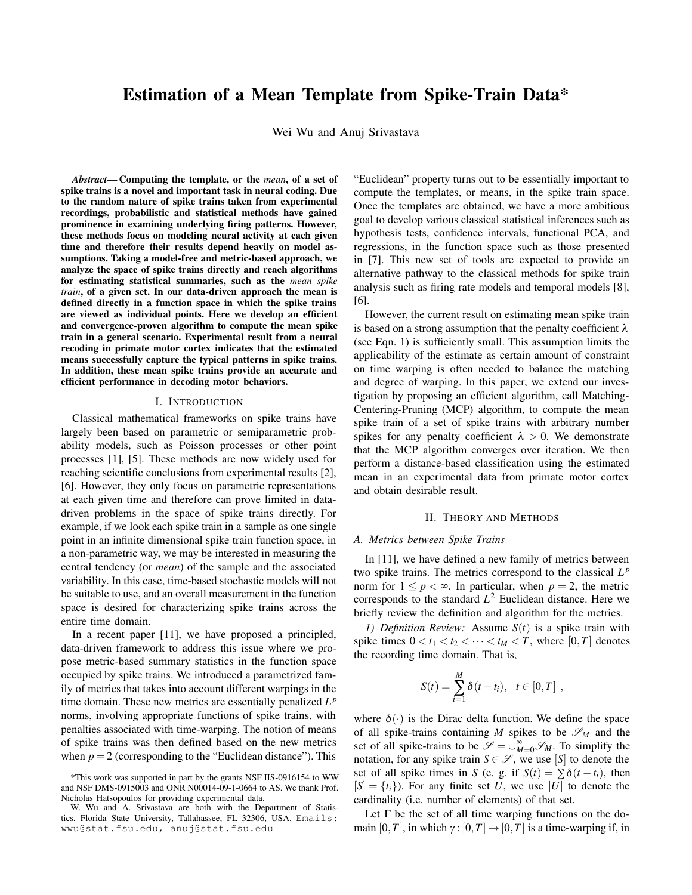# **Estimation of a Mean Template from Spike-Train Data\***

Wei Wu and Anuj Srivastava

*Abstract***— Computing the template, or the** *mean***, of a set of spike trains is a novel and important task in neural coding. Due to the random nature of spike trains taken from experimental recordings, probabilistic and statistical methods have gained prominence in examining underlying firing patterns. However, these methods focus on modeling neural activity at each given time and therefore their results depend heavily on model assumptions. Taking a model-free and metric-based approach, we analyze the space of spike trains directly and reach algorithms for estimating statistical summaries, such as the** *mean spike train***, of a given set. In our data-driven approach the mean is defined directly in a function space in which the spike trains are viewed as individual points. Here we develop an efficient and convergence-proven algorithm to compute the mean spike train in a general scenario. Experimental result from a neural recoding in primate motor cortex indicates that the estimated means successfully capture the typical patterns in spike trains. In addition, these mean spike trains provide an accurate and efficient performance in decoding motor behaviors.**

### I. INTRODUCTION

Classical mathematical frameworks on spike trains have largely been based on parametric or semiparametric probability models, such as Poisson processes or other point processes [1], [5]. These methods are now widely used for reaching scientific conclusions from experimental results [2], [6]. However, they only focus on parametric representations at each given time and therefore can prove limited in datadriven problems in the space of spike trains directly. For example, if we look each spike train in a sample as one single point in an infinite dimensional spike train function space, in a non-parametric way, we may be interested in measuring the central tendency (or *mean*) of the sample and the associated variability. In this case, time-based stochastic models will not be suitable to use, and an overall measurement in the function space is desired for characterizing spike trains across the entire time domain.

In a recent paper [11], we have proposed a principled, data-driven framework to address this issue where we propose metric-based summary statistics in the function space occupied by spike trains. We introduced a parametrized family of metrics that takes into account different warpings in the time domain. These new metrics are essentially penalized *L p* norms, involving appropriate functions of spike trains, with penalties associated with time-warping. The notion of means of spike trains was then defined based on the new metrics when  $p = 2$  (corresponding to the "Euclidean distance"). This

"Euclidean" property turns out to be essentially important to compute the templates, or means, in the spike train space. Once the templates are obtained, we have a more ambitious goal to develop various classical statistical inferences such as hypothesis tests, confidence intervals, functional PCA, and regressions, in the function space such as those presented in [7]. This new set of tools are expected to provide an alternative pathway to the classical methods for spike train analysis such as firing rate models and temporal models [8], [6].

However, the current result on estimating mean spike train is based on a strong assumption that the penalty coefficient  $\lambda$ (see Eqn. 1) is sufficiently small. This assumption limits the applicability of the estimate as certain amount of constraint on time warping is often needed to balance the matching and degree of warping. In this paper, we extend our investigation by proposing an efficient algorithm, call Matching-Centering-Pruning (MCP) algorithm, to compute the mean spike train of a set of spike trains with arbitrary number spikes for any penalty coefficient  $\lambda > 0$ . We demonstrate that the MCP algorithm converges over iteration. We then perform a distance-based classification using the estimated mean in an experimental data from primate motor cortex and obtain desirable result.

#### II. THEORY AND METHODS

# *A. Metrics between Spike Trains*

In [11], we have defined a new family of metrics between two spike trains. The metrics correspond to the classical  $L^p$ norm for  $1 \leq p \leq \infty$ . In particular, when  $p = 2$ , the metric corresponds to the standard *L* <sup>2</sup> Euclidean distance. Here we briefly review the definition and algorithm for the metrics.

*1) Definition Review:* Assume *S*(*t*) is a spike train with spike times  $0 < t_1 < t_2 < \cdots < t_M < T$ , where  $[0, T]$  denotes the recording time domain. That is,

$$
S(t) = \sum_{i=1}^{M} \delta(t - t_i), \quad t \in [0, T],
$$

where  $\delta(\cdot)$  is the Dirac delta function. We define the space of all spike-trains containing *M* spikes to be  $\mathscr{S}_M$  and the set of all spike-trains to be  $\mathscr{S} = \cup_{M=0}^{\infty} \mathscr{S}_M$ . To simplify the notation, for any spike train  $S \in \mathcal{S}$ , we use [*S*] to denote the set of all spike times in *S* (e. g. if  $S(t) = \sum \delta(t - t_i)$ , then  $[S] = \{t_i\}$ ). For any finite set *U*, we use |*U*| to denote the cardinality (i.e. number of elements) of that set.

Let  $\Gamma$  be the set of all time warping functions on the domain [0,*T*], in which  $\gamma$  : [0,*T*]  $\rightarrow$  [0,*T*] is a time-warping if, in

<sup>\*</sup>This work was supported in part by the grants NSF IIS-0916154 to WW and NSF DMS-0915003 and ONR N00014-09-1-0664 to AS. We thank Prof. Nicholas Hatsopoulos for providing experimental data.

W. Wu and A. Srivastava are both with the Department of Statistics, Florida State University, Tallahassee, FL 32306, USA. Emails: wwu@stat.fsu.edu, anuj@stat.fsu.edu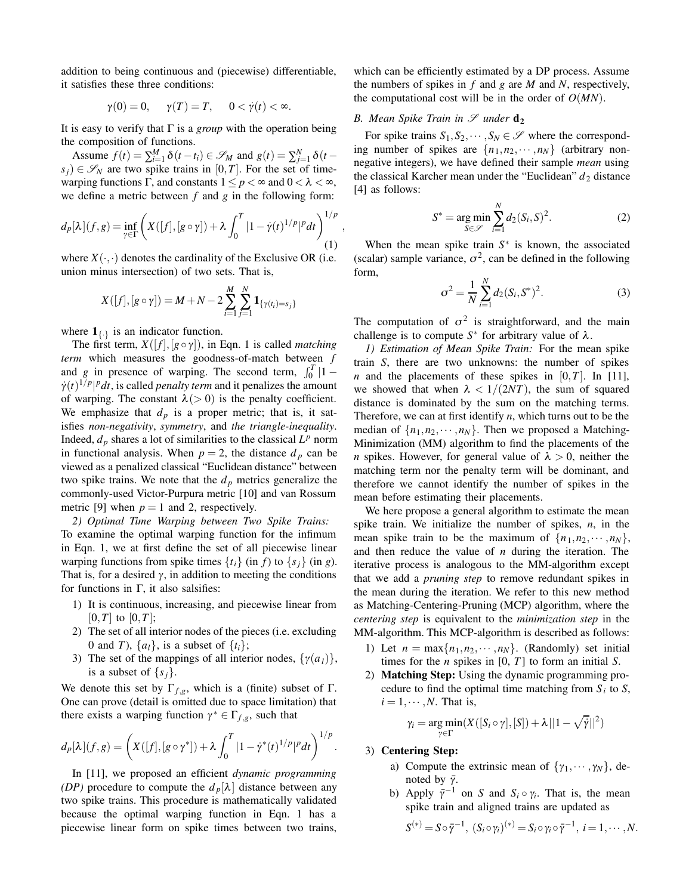addition to being continuous and (piecewise) differentiable, it satisfies these three conditions:

$$
\gamma(0) = 0, \quad \gamma(T) = T, \quad 0 < \dot{\gamma}(t) < \infty.
$$

It is easy to verify that  $\Gamma$  is a *group* with the operation being the composition of functions.

Assume  $f(t) = \sum_{i=1}^{M} \delta(t - t_i) \in \mathcal{S}_M$  and  $g(t) = \sum_{j=1}^{N} \delta(t - t_j)$  $s_j$ )  $\in \mathscr{S}_N$  are two spike trains in [0,*T*]. For the set of timewarping functions  $\Gamma$ , and constants  $1 \le p < \infty$  and  $0 < \lambda < \infty$ , we define a metric between *f* and *g* in the following form:

$$
d_p[\lambda](f,g) = \inf_{\gamma \in \Gamma} \left( X([f],[g \circ \gamma]) + \lambda \int_0^T |1 - \dot{\gamma}(t)^{1/p}|^p dt \right)^{1/p}
$$
(1)

where  $X(\cdot, \cdot)$  denotes the cardinality of the Exclusive OR (i.e. union minus intersection) of two sets. That is,

$$
X([f],[g\circ\gamma])=M+N-2\sum_{i=1}^M\sum_{j=1}^N{\bf 1}_{\{\gamma(t_i)=s_j\}}
$$

where  $\mathbf{1}_{\{.\}}$  is an indicator function.

The first term,  $X([f], [g \circ \gamma])$ , in Eqn. 1 is called *matching term* which measures the goodness-of-match between *f* and *g* in presence of warping. The second term,  $\int_0^T |1 - \rangle$  $\dot{\gamma}(t)^{1/p} |^{p} dt$ , is called *penalty term* and it penalizes the amount of warping. The constant  $\lambda(> 0)$  is the penalty coefficient. We emphasize that  $d_p$  is a proper metric; that is, it satisfies *non-negativity*, *symmetry*, and *the triangle-inequality*. Indeed,  $d_p$  shares a lot of similarities to the classical  $L^p$  norm in functional analysis. When  $p = 2$ , the distance  $d_p$  can be viewed as a penalized classical "Euclidean distance" between two spike trains. We note that the *d<sup>p</sup>* metrics generalize the commonly-used Victor-Purpura metric [10] and van Rossum metric [9] when  $p = 1$  and 2, respectively.

*2) Optimal Time Warping between Two Spike Trains:* To examine the optimal warping function for the infimum in Eqn. 1, we at first define the set of all piecewise linear warping functions from spike times  $\{t_i\}$  (in *f*) to  $\{s_i\}$  (in *g*). That is, for a desired  $\gamma$ , in addition to meeting the conditions for functions in  $\Gamma$ , it also salsifies:

- 1) It is continuous, increasing, and piecewise linear from  $[0,T]$  to  $[0,T]$ ;
- 2) The set of all interior nodes of the pieces (i.e. excluding 0 and *T*),  $\{a_l\}$ , is a subset of  $\{t_i\}$ ;
- 3) The set of the mappings of all interior nodes,  $\{\gamma(a_l)\},\$ is a subset of  $\{s_i\}$ .

We denote this set by  $\Gamma_{f,g}$ , which is a (finite) subset of  $\Gamma$ . One can prove (detail is omitted due to space limitation) that there exists a warping function  $\gamma^* \in \Gamma_{f,g}$ , such that

$$
d_p[\lambda](f,g) = \left(X([f],[g\circ\gamma^*]) + \lambda \int_0^T |1-\dot{\gamma}^*(t)^{1/p}|^p dt\right)^{1/p}.
$$

In [11], we proposed an efficient *dynamic programming (DP)* procedure to compute the  $d_p[\lambda]$  distance between any two spike trains. This procedure is mathematically validated because the optimal warping function in Eqn. 1 has a piecewise linear form on spike times between two trains, which can be efficiently estimated by a DP process. Assume the numbers of spikes in *f* and *g* are *M* and *N*, respectively, the computational cost will be in the order of  $O(MN)$ .

# *B. Mean Spike Train in*  $\mathcal{S}$  *under*  $\mathbf{d}_2$

,

For spike trains  $S_1, S_2, \dots, S_N \in \mathscr{S}$  where the corresponding number of spikes are  $\{n_1, n_2, \dots, n_N\}$  (arbitrary nonnegative integers), we have defined their sample *mean* using the classical Karcher mean under the "Euclidean"  $d_2$  distance [4] as follows:

$$
S^* = \underset{S \in \mathcal{S}}{\arg \min} \sum_{i=1}^{N} d_2(S_i, S)^2.
$$
 (2)

When the mean spike train  $S^*$  is known, the associated (scalar) sample variance,  $\sigma^2$ , can be defined in the following form,

$$
\sigma^2 = \frac{1}{N} \sum_{i=1}^{N} d_2(S_i, S^*)^2.
$$
 (3)

The computation of  $\sigma^2$  is straightforward, and the main challenge is to compute  $S^*$  for arbitrary value of  $\lambda$ .

*1) Estimation of Mean Spike Train:* For the mean spike train *S*, there are two unknowns: the number of spikes *n* and the placements of these spikes in  $[0, T]$ . In [11], we showed that when  $\lambda < 1/(2NT)$ , the sum of squared distance is dominated by the sum on the matching terms. Therefore, we can at first identify *n*, which turns out to be the median of  $\{n_1, n_2, \dots, n_N\}$ . Then we proposed a Matching-Minimization (MM) algorithm to find the placements of the *n* spikes. However, for general value of  $\lambda > 0$ , neither the matching term nor the penalty term will be dominant, and therefore we cannot identify the number of spikes in the mean before estimating their placements.

We here propose a general algorithm to estimate the mean spike train. We initialize the number of spikes, *n*, in the mean spike train to be the maximum of  $\{n_1, n_2, \dots, n_N\}$ , and then reduce the value of *n* during the iteration. The iterative process is analogous to the MM-algorithm except that we add a *pruning step* to remove redundant spikes in the mean during the iteration. We refer to this new method as Matching-Centering-Pruning (MCP) algorithm, where the *centering step* is equivalent to the *minimization step* in the MM-algorithm. This MCP-algorithm is described as follows:

- 1) Let  $n = \max\{n_1, n_2, \dots, n_N\}$ . (Randomly) set initial times for the *n* spikes in [0, *T*] to form an initial *S*.
- 2) **Matching Step:** Using the dynamic programming procedure to find the optimal time matching from  $S_i$  to  $S$ ,  $i = 1, \cdots, N$ . That is,

$$
\gamma_i = \underset{\gamma \in \Gamma}{\arg \min} (X([S_i \circ \gamma], [S]) + \lambda ||1 - \sqrt{\dot{\gamma}}||^2)
$$

# 3) **Centering Step:**

- a) Compute the extrinsic mean of  $\{\gamma_1,\cdots,\gamma_N\}$ , denoted by  $\bar{\gamma}$ .
- b) Apply  $\bar{\gamma}^{-1}$  on *S* and  $S_i \circ \gamma_i$ . That is, the mean spike train and aligned trains are updated as

$$
S^{(*)}=S\circ\bar{\gamma}^{-1},\ (S_i\circ\gamma_i)^{(*)}=S_i\circ\gamma_i\circ\bar{\gamma}^{-1},\ i=1,\cdots,N.
$$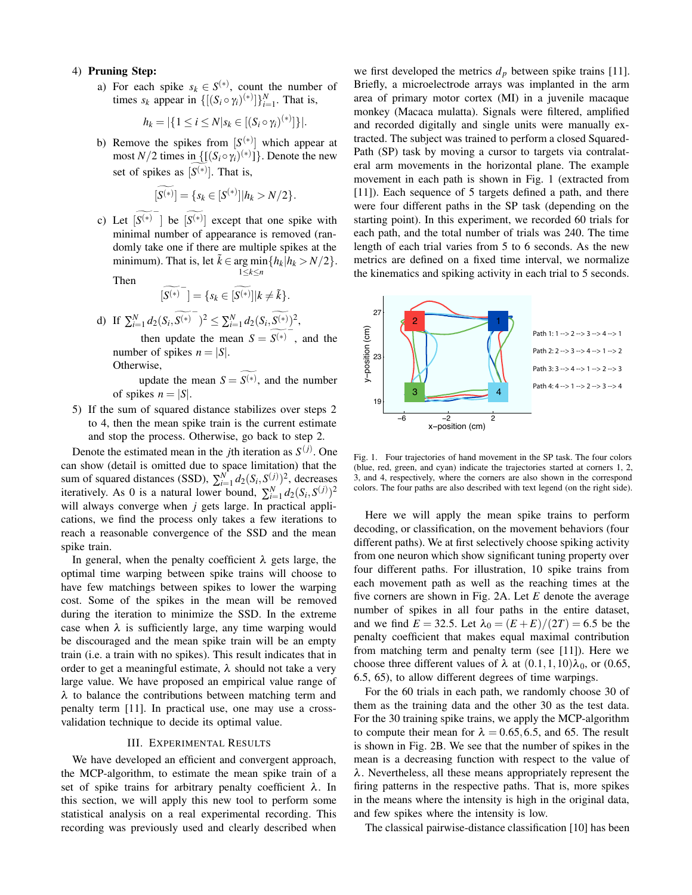## 4) **Pruning Step:**

a) For each spike  $s_k \in S^{(*)}$ , count the number of times  $s_k$  appear in  $\{[(S_i \circ \gamma_i)^{(*)}]\}_{i=1}^N$ . That is,

$$
h_k = |\{1 \le i \le N | s_k \in [(S_i \circ \gamma_i)^{(*)}]\}|.
$$

b) Remove the spikes from  $[S^{(*)}]$  which appear at most  $N/2$  times in  $\{[(S_i \circ \gamma_i)^{(*)}]\}$ . Denote the new set of spikes as  $[S^{(*)}]$ . That is,

$$
[\widetilde{S^{(*)}}] = \{ s_k \in [S^{(*)}] | h_k > N/2 \}.
$$

c) Let  $\widetilde{S^{(*)}}$  be  $\widetilde{S^{(*)}}$  except that one spike with minimal number of appearance is removed (randomly take one if there are multiple spikes at the minimum). That is, let  $\tilde{k} \in \arg \min \{ h_k | h_k > N/2 \}.$ 1≤*k*≤*n*

Then

$$
[\widetilde{S^{(*)}}^-]=\{s_k\in [\widetilde{S^{(*)}}]|k\neq \tilde{k}\}.
$$

d) If  $\sum_{i=1}^{N} d_2(S_i, \widetilde{S^{(*)}}^{-})^2 \le \sum_{i=1}^{N} d_2(S_i, \widetilde{S^{(*)}})^2$ , then update the mean  $S = \widetilde{S^{(*)}}$ , and the

number of spikes  $n = |S|$ .

Otherwise,

update the mean  $S = S^{(*)}$ , and the number of spikes  $n = |S|$ .

5) If the sum of squared distance stabilizes over steps 2 to 4, then the mean spike train is the current estimate and stop the process. Otherwise, go back to step 2.

Denote the estimated mean in the *j*th iteration as *S* (*j*) . One can show (detail is omitted due to space limitation) that the sum of squared distances (SSD),  $\sum_{i=1}^{N} d_2(S_i, S^{(j)})^2$ , decreases iteratively. As 0 is a natural lower bound,  $\sum_{i=1}^{N} d_2(S_i, S^{(j)})^2$ will always converge when *j* gets large. In practical applications, we find the process only takes a few iterations to reach a reasonable convergence of the SSD and the mean spike train.

In general, when the penalty coefficient  $\lambda$  gets large, the optimal time warping between spike trains will choose to have few matchings between spikes to lower the warping cost. Some of the spikes in the mean will be removed during the iteration to minimize the SSD. In the extreme case when  $\lambda$  is sufficiently large, any time warping would be discouraged and the mean spike train will be an empty train (i.e. a train with no spikes). This result indicates that in order to get a meaningful estimate,  $\lambda$  should not take a very large value. We have proposed an empirical value range of  $\lambda$  to balance the contributions between matching term and penalty term [11]. In practical use, one may use a crossvalidation technique to decide its optimal value.

### III. EXPERIMENTAL RESULTS

We have developed an efficient and convergent approach, the MCP-algorithm, to estimate the mean spike train of a set of spike trains for arbitrary penalty coefficient  $\lambda$ . In this section, we will apply this new tool to perform some statistical analysis on a real experimental recording. This recording was previously used and clearly described when we first developed the metrics  $d<sub>p</sub>$  between spike trains [11]. Briefly, a microelectrode arrays was implanted in the arm area of primary motor cortex (MI) in a juvenile macaque monkey (Macaca mulatta). Signals were filtered, amplified and recorded digitally and single units were manually extracted. The subject was trained to perform a closed Squared-Path (SP) task by moving a cursor to targets via contralateral arm movements in the horizontal plane. The example movement in each path is shown in Fig. 1 (extracted from [11]). Each sequence of 5 targets defined a path, and there were four different paths in the SP task (depending on the starting point). In this experiment, we recorded 60 trials for each path, and the total number of trials was 240. The time length of each trial varies from 5 to 6 seconds. As the new metrics are defined on a fixed time interval, we normalize the kinematics and spiking activity in each trial to 5 seconds.



Fig. 1. Four trajectories of hand movement in the SP task. The four colors (blue, red, green, and cyan) indicate the trajectories started at corners 1, 2, 3, and 4, respectively, where the corners are also shown in the correspond colors. The four paths are also described with text legend (on the right side).

Here we will apply the mean spike trains to perform decoding, or classification, on the movement behaviors (four different paths). We at first selectively choose spiking activity from one neuron which show significant tuning property over four different paths. For illustration, 10 spike trains from each movement path as well as the reaching times at the five corners are shown in Fig. 2A. Let *E* denote the average number of spikes in all four paths in the entire dataset, and we find  $E = 32.5$ . Let  $\lambda_0 = (E + E)/(2T) = 6.5$  be the penalty coefficient that makes equal maximal contribution from matching term and penalty term (see [11]). Here we choose three different values of  $\lambda$  at  $(0.1,1,10)\lambda_0$ , or  $(0.65,$ 6.5, 65), to allow different degrees of time warpings.

For the 60 trials in each path, we randomly choose 30 of them as the training data and the other 30 as the test data. For the 30 training spike trains, we apply the MCP-algorithm to compute their mean for  $\lambda = 0.65, 6.5$ , and 65. The result is shown in Fig. 2B. We see that the number of spikes in the mean is a decreasing function with respect to the value of  $\lambda$ . Nevertheless, all these means appropriately represent the firing patterns in the respective paths. That is, more spikes in the means where the intensity is high in the original data, and few spikes where the intensity is low.

The classical pairwise-distance classification [10] has been